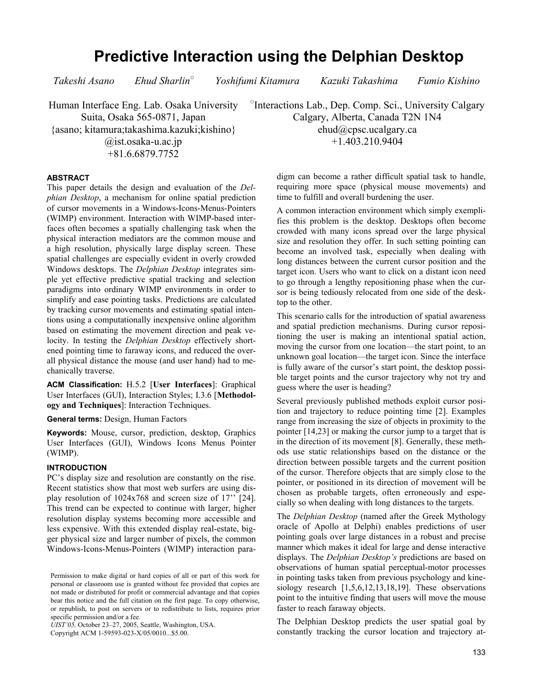# **Predictive Interaction using the Delphian Desktop**

*Takeshi Asano Ehud Sharlin○*

 *Yoshifumi Kitamura Kazuki Takashima Fumio Kishino* 

Human Interface Eng. Lab. Osaka University Suita, Osaka 565-0871, Japan {asano; kitamura;takashima.kazuki;kishino} @ist.osaka-u.ac.jp +81.6.6879.7752

○ Interactions Lab., Dep. Comp. Sci., University Calgary Calgary, Alberta, Canada T2N 1N4 ehud@cpsc.ucalgary.ca +1.403.210.9404

## **ABSTRACT**

This paper details the design and evaluation of the *Delphian Desktop*, a mechanism for online spatial prediction of cursor movements in a Windows-Icons-Menus-Pointers (WIMP) environment. Interaction with WIMP-based interfaces often becomes a spatially challenging task when the physical interaction mediators are the common mouse and a high resolution, physically large display screen. These spatial challenges are especially evident in overly crowded Windows desktops. The *Delphian Desktop* integrates simple yet effective predictive spatial tracking and selection paradigms into ordinary WIMP environments in order to simplify and ease pointing tasks. Predictions are calculated by tracking cursor movements and estimating spatial intentions using a computationally inexpensive online algorithm based on estimating the movement direction and peak velocity. In testing the *Delphian Desktop* effectively shortened pointing time to faraway icons, and reduced the overall physical distance the mouse (and user hand) had to mechanically traverse.

**ACM Classification:** H.5.2 [**User Interfaces**]: Graphical User Interfaces (GUI), Interaction Styles; I.3.6 [**Methodology and Techniques**]: Interaction Techniques.

**General terms:** Design, Human Factors

**Keywords:** Mouse, cursor, prediction, desktop, Graphics User Interfaces (GUI), Windows Icons Menus Pointer (WIMP).

#### **INTRODUCTION**

PC's display size and resolution are constantly on the rise. Recent statistics show that most web surfers are using display resolution of 1024x768 and screen size of 17'' [24]. This trend can be expected to continue with larger, higher resolution display systems becoming more accessible and less expensive. With this extended display real-estate, bigger physical size and larger number of pixels, the common Windows-Icons-Menus-Pointers (WIMP) interaction para-

*UIST'05,* October 23–27, 2005, Seattle, Washington, USA.

Copyright ACM 1-59593-023-X/05/0010...\$5.00.

digm can become a rather difficult spatial task to handle, requiring more space (physical mouse movements) and time to fulfill and overall burdening the user.

A common interaction environment which simply exemplifies this problem is the desktop. Desktops often become crowded with many icons spread over the large physical size and resolution they offer. In such setting pointing can become an involved task, especially when dealing with long distances between the current cursor position and the target icon. Users who want to click on a distant icon need to go through a lengthy repositioning phase when the cursor is being tediously relocated from one side of the desktop to the other.

This scenario calls for the introduction of spatial awareness and spatial prediction mechanisms. During cursor repositioning the user is making an intentional spatial action, moving the cursor from one location—the start point, to an unknown goal location—the target icon. Since the interface is fully aware of the cursor's start point, the desktop possible target points and the cursor trajectory why not try and guess where the user is heading?

Several previously published methods exploit cursor position and trajectory to reduce pointing time [2]. Examples range from increasing the size of objects in proximity to the pointer [14,23] or making the cursor jump to a target that is in the direction of its movement [8]. Generally, these methods use static relationships based on the distance or the direction between possible targets and the current position of the cursor. Therefore objects that are simply close to the pointer, or positioned in its direction of movement will be chosen as probable targets, often erroneously and especially so when dealing with long distances to the targets.

The *Delphian Desktop* (named after the Greek Mythology oracle of Apollo at Delphi) enables predictions of user pointing goals over large distances in a robust and precise manner which makes it ideal for large and dense interactive displays. The *Delphian Desktop's* predictions are based on observations of human spatial perceptual-motor processes in pointing tasks taken from previous psychology and kinesiology research [1,5,6,12,13,18,19]. These observations point to the intuitive finding that users will move the mouse faster to reach faraway objects.

The Delphian Desktop predicts the user spatial goal by constantly tracking the cursor location and trajectory at-

Permission to make digital or hard copies of all or part of this work for personal or classroom use is granted without fee provided that copies are not made or distributed for profit or commercial advantage and that copies bear this notice and the full citation on the first page. To copy otherwise, or republish, to post on servers or to redistribute to lists, requires prior specific permission and/or a fee.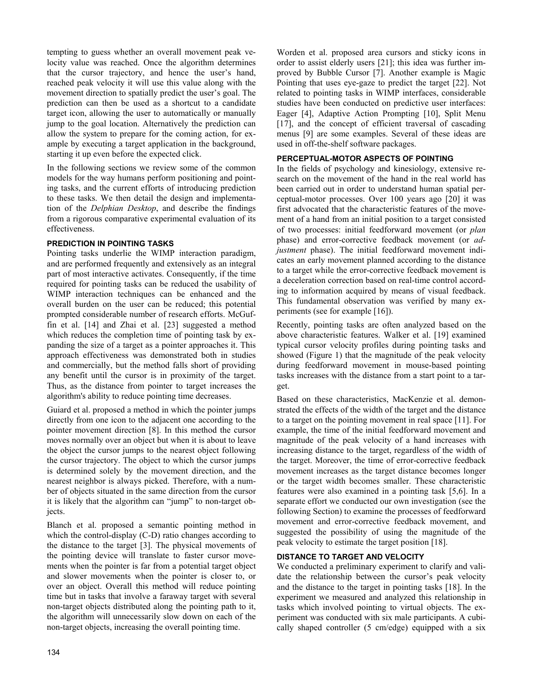tempting to guess whether an overall movement peak velocity value was reached. Once the algorithm determines that the cursor trajectory, and hence the user's hand, reached peak velocity it will use this value along with the movement direction to spatially predict the user's goal. The prediction can then be used as a shortcut to a candidate target icon, allowing the user to automatically or manually jump to the goal location. Alternatively the prediction can allow the system to prepare for the coming action, for example by executing a target application in the background, starting it up even before the expected click.

In the following sections we review some of the common models for the way humans perform positioning and pointing tasks, and the current efforts of introducing prediction to these tasks. We then detail the design and implementation of the *Delphian Desktop*, and describe the findings from a rigorous comparative experimental evaluation of its effectiveness.

# **PREDICTION IN POINTING TASKS**

Pointing tasks underlie the WIMP interaction paradigm, and are performed frequently and extensively as an integral part of most interactive activates. Consequently, if the time required for pointing tasks can be reduced the usability of WIMP interaction techniques can be enhanced and the overall burden on the user can be reduced; this potential prompted considerable number of research efforts. McGuffin et al. [14] and Zhai et al. [23] suggested a method which reduces the completion time of pointing task by expanding the size of a target as a pointer approaches it. This approach effectiveness was demonstrated both in studies and commercially, but the method falls short of providing any benefit until the cursor is in proximity of the target. Thus, as the distance from pointer to target increases the algorithm's ability to reduce pointing time decreases.

Guiard et al. proposed a method in which the pointer jumps directly from one icon to the adjacent one according to the pointer movement direction [8]. In this method the cursor moves normally over an object but when it is about to leave the object the cursor jumps to the nearest object following the cursor trajectory. The object to which the cursor jumps is determined solely by the movement direction, and the nearest neighbor is always picked. Therefore, with a number of objects situated in the same direction from the cursor it is likely that the algorithm can "jump" to non-target objects.

Blanch et al. proposed a semantic pointing method in which the control-display (C-D) ratio changes according to the distance to the target [3]. The physical movements of the pointing device will translate to faster cursor movements when the pointer is far from a potential target object and slower movements when the pointer is closer to, or over an object. Overall this method will reduce pointing time but in tasks that involve a faraway target with several non-target objects distributed along the pointing path to it, the algorithm will unnecessarily slow down on each of the non-target objects, increasing the overall pointing time.

Worden et al. proposed area cursors and sticky icons in order to assist elderly users [21]; this idea was further improved by Bubble Cursor [7]. Another example is Magic Pointing that uses eye-gaze to predict the target [22]. Not related to pointing tasks in WIMP interfaces, considerable studies have been conducted on predictive user interfaces: Eager [4], Adaptive Action Prompting [10], Split Menu [17], and the concept of efficient traversal of cascading menus [9] are some examples. Several of these ideas are used in off-the-shelf software packages.

## **PERCEPTUAL-MOTOR ASPECTS OF POINTING**

In the fields of psychology and kinesiology, extensive research on the movement of the hand in the real world has been carried out in order to understand human spatial perceptual-motor processes. Over 100 years ago [20] it was first advocated that the characteristic features of the movement of a hand from an initial position to a target consisted of two processes: initial feedforward movement (or *plan* phase) and error-corrective feedback movement (or *adjustment* phase). The initial feedforward movement indicates an early movement planned according to the distance to a target while the error-corrective feedback movement is a deceleration correction based on real-time control according to information acquired by means of visual feedback. This fundamental observation was verified by many experiments (see for example [16]).

Recently, pointing tasks are often analyzed based on the above characteristic features. Walker et al. [19] examined typical cursor velocity profiles during pointing tasks and showed (Figure 1) that the magnitude of the peak velocity during feedforward movement in mouse-based pointing tasks increases with the distance from a start point to a target.

Based on these characteristics, MacKenzie et al. demonstrated the effects of the width of the target and the distance to a target on the pointing movement in real space [11]. For example, the time of the initial feedforward movement and magnitude of the peak velocity of a hand increases with increasing distance to the target, regardless of the width of the target. Moreover, the time of error-corrective feedback movement increases as the target distance becomes longer or the target width becomes smaller. These characteristic features were also examined in a pointing task [5,6]. In a separate effort we conducted our own investigation (see the following Section) to examine the processes of feedforward movement and error-corrective feedback movement, and suggested the possibility of using the magnitude of the peak velocity to estimate the target position [18].

## **DISTANCE TO TARGET AND VELOCITY**

We conducted a preliminary experiment to clarify and validate the relationship between the cursor's peak velocity and the distance to the target in pointing tasks [18]. In the experiment we measured and analyzed this relationship in tasks which involved pointing to virtual objects. The experiment was conducted with six male participants. A cubically shaped controller (5 cm/edge) equipped with a six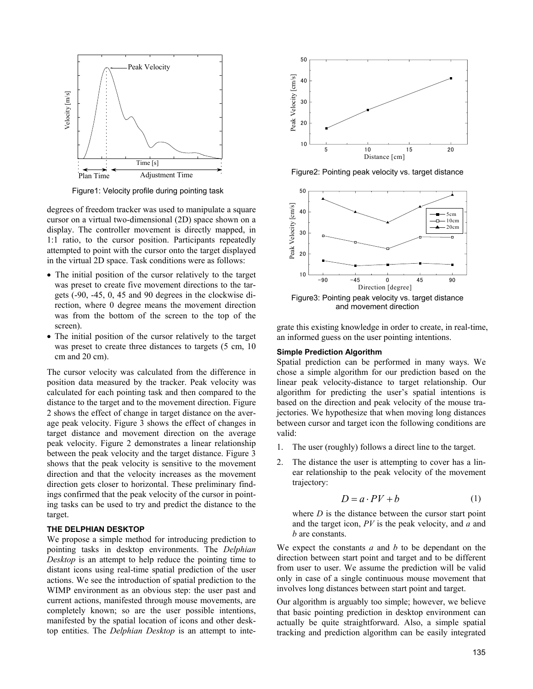

Figure1: Velocity profile during pointing task

degrees of freedom tracker was used to manipulate a square cursor on a virtual two-dimensional (2D) space shown on a display. The controller movement is directly mapped, in 1:1 ratio, to the cursor position. Participants repeatedly attempted to point with the cursor onto the target displayed in the virtual 2D space. Task conditions were as follows:

- The initial position of the cursor relatively to the target was preset to create five movement directions to the targets (-90, -45, 0, 45 and 90 degrees in the clockwise direction, where 0 degree means the movement direction was from the bottom of the screen to the top of the screen).
- The initial position of the cursor relatively to the target was preset to create three distances to targets (5 cm, 10) cm and 20 cm).

The cursor velocity was calculated from the difference in position data measured by the tracker. Peak velocity was calculated for each pointing task and then compared to the distance to the target and to the movement direction. Figure 2 shows the effect of change in target distance on the average peak velocity. Figure 3 shows the effect of changes in target distance and movement direction on the average peak velocity. Figure 2 demonstrates a linear relationship between the peak velocity and the target distance. Figure 3 shows that the peak velocity is sensitive to the movement direction and that the velocity increases as the movement direction gets closer to horizontal. These preliminary findings confirmed that the peak velocity of the cursor in pointing tasks can be used to try and predict the distance to the target.

## **THE DELPHIAN DESKTOP**

We propose a simple method for introducing prediction to pointing tasks in desktop environments. The *Delphian Desktop* is an attempt to help reduce the pointing time to distant icons using real-time spatial prediction of the user actions. We see the introduction of spatial prediction to the WIMP environment as an obvious step: the user past and current actions, manifested through mouse movements, are completely known; so are the user possible intentions, manifested by the spatial location of icons and other desktop entities. The *Delphian Desktop* is an attempt to inte-



Figure2: Pointing peak velocity vs. target distance



Figure3: Pointing peak velocity vs. target distance and movement direction

grate this existing knowledge in order to create, in real-time, an informed guess on the user pointing intentions.

#### **Simple Prediction Algorithm**

Spatial prediction can be performed in many ways. We chose a simple algorithm for our prediction based on the linear peak velocity-distance to target relationship. Our algorithm for predicting the user's spatial intentions is based on the direction and peak velocity of the mouse trajectories. We hypothesize that when moving long distances between cursor and target icon the following conditions are valid:

- 1. The user (roughly) follows a direct line to the target.
- 2. The distance the user is attempting to cover has a linear relationship to the peak velocity of the movement trajectory:

$$
D = a \cdot PV + b \tag{1}
$$

where *D* is the distance between the cursor start point and the target icon, *PV* is the peak velocity, and *a* and *b* are constants.

We expect the constants *a* and *b* to be dependant on the direction between start point and target and to be different from user to user. We assume the prediction will be valid only in case of a single continuous mouse movement that involves long distances between start point and target.

Our algorithm is arguably too simple; however, we believe that basic pointing prediction in desktop environment can actually be quite straightforward. Also, a simple spatial tracking and prediction algorithm can be easily integrated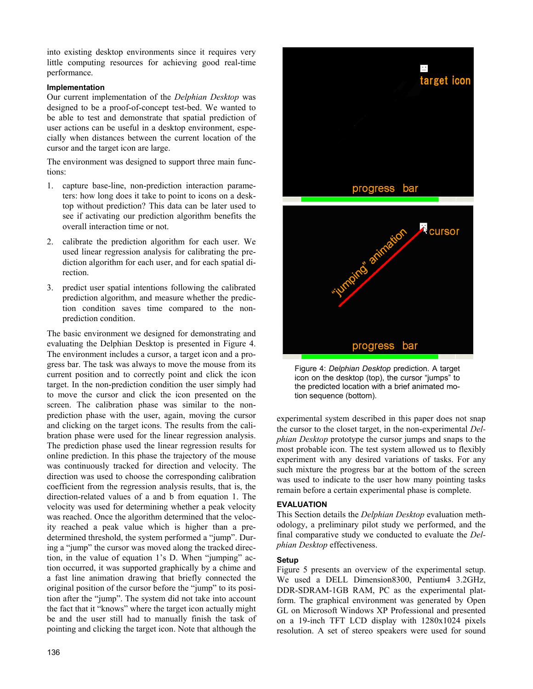into existing desktop environments since it requires very little computing resources for achieving good real-time performance.

## **Implementation**

Our current implementation of the *Delphian Desktop* was designed to be a proof-of-concept test-bed. We wanted to be able to test and demonstrate that spatial prediction of user actions can be useful in a desktop environment, especially when distances between the current location of the cursor and the target icon are large.

The environment was designed to support three main functions:

- 1. capture base-line, non-prediction interaction parameters: how long does it take to point to icons on a desktop without prediction? This data can be later used to see if activating our prediction algorithm benefits the overall interaction time or not.
- 2. calibrate the prediction algorithm for each user. We used linear regression analysis for calibrating the prediction algorithm for each user, and for each spatial direction.
- 3. predict user spatial intentions following the calibrated prediction algorithm, and measure whether the prediction condition saves time compared to the nonprediction condition.

The basic environment we designed for demonstrating and evaluating the Delphian Desktop is presented in Figure 4. The environment includes a cursor, a target icon and a progress bar. The task was always to move the mouse from its current position and to correctly point and click the icon target. In the non-prediction condition the user simply had to move the cursor and click the icon presented on the screen. The calibration phase was similar to the nonprediction phase with the user, again, moving the cursor and clicking on the target icons. The results from the calibration phase were used for the linear regression analysis. The prediction phase used the linear regression results for online prediction. In this phase the trajectory of the mouse was continuously tracked for direction and velocity. The direction was used to choose the corresponding calibration coefficient from the regression analysis results, that is, the direction-related values of a and b from equation 1. The velocity was used for determining whether a peak velocity was reached. Once the algorithm determined that the velocity reached a peak value which is higher than a predetermined threshold, the system performed a "jump". During a "jump" the cursor was moved along the tracked direction, in the value of equation 1's D. When "jumping" action occurred, it was supported graphically by a chime and a fast line animation drawing that briefly connected the original position of the cursor before the "jump" to its position after the "jump". The system did not take into account the fact that it "knows" where the target icon actually might be and the user still had to manually finish the task of pointing and clicking the target icon. Note that although the



Figure 4: *Delphian Desktop* prediction. A target icon on the desktop (top), the cursor "jumps" to the predicted location with a brief animated motion sequence (bottom).

experimental system described in this paper does not snap the cursor to the closet target, in the non-experimental *Delphian Desktop* prototype the cursor jumps and snaps to the most probable icon. The test system allowed us to flexibly experiment with any desired variations of tasks. For any such mixture the progress bar at the bottom of the screen was used to indicate to the user how many pointing tasks remain before a certain experimental phase is complete.

# **EVALUATION**

This Section details the *Delphian Desktop* evaluation methodology, a preliminary pilot study we performed, and the final comparative study we conducted to evaluate the *Delphian Desktop* effectiveness.

# **Setup**

Figure 5 presents an overview of the experimental setup. We used a DELL Dimension8300, Pentium4 3.2GHz, DDR-SDRAM-1GB RAM, PC as the experimental platform. The graphical environment was generated by Open GL on Microsoft Windows XP Professional and presented on a 19-inch TFT LCD display with 1280x1024 pixels resolution. A set of stereo speakers were used for sound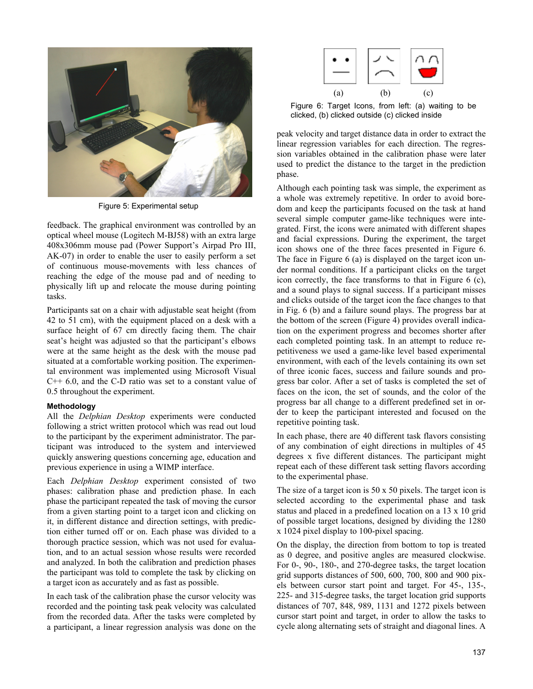

Figure 5: Experimental setup

feedback. The graphical environment was controlled by an optical wheel mouse (Logitech M-BJ58) with an extra large 408x306mm mouse pad (Power Support's Airpad Pro III, AK-07) in order to enable the user to easily perform a set of continuous mouse-movements with less chances of reaching the edge of the mouse pad and of needing to physically lift up and relocate the mouse during pointing tasks.

Participants sat on a chair with adjustable seat height (from 42 to 51 cm), with the equipment placed on a desk with a surface height of 67 cm directly facing them. The chair seat's height was adjusted so that the participant's elbows were at the same height as the desk with the mouse pad situated at a comfortable working position. The experimental environment was implemented using Microsoft Visual  $C++ 6.0$ , and the C-D ratio was set to a constant value of 0.5 throughout the experiment.

## **Methodology**

All the *Delphian Desktop* experiments were conducted following a strict written protocol which was read out loud to the participant by the experiment administrator. The participant was introduced to the system and interviewed quickly answering questions concerning age, education and previous experience in using a WIMP interface.

Each *Delphian Desktop* experiment consisted of two phases: calibration phase and prediction phase. In each phase the participant repeated the task of moving the cursor from a given starting point to a target icon and clicking on it, in different distance and direction settings, with prediction either turned off or on. Each phase was divided to a thorough practice session, which was not used for evaluation, and to an actual session whose results were recorded and analyzed. In both the calibration and prediction phases the participant was told to complete the task by clicking on a target icon as accurately and as fast as possible.

In each task of the calibration phase the cursor velocity was recorded and the pointing task peak velocity was calculated from the recorded data. After the tasks were completed by a participant, a linear regression analysis was done on the



Figure 6: Target Icons, from left: (a) waiting to be clicked, (b) clicked outside (c) clicked inside

peak velocity and target distance data in order to extract the linear regression variables for each direction. The regression variables obtained in the calibration phase were later used to predict the distance to the target in the prediction phase.

Although each pointing task was simple, the experiment as a whole was extremely repetitive. In order to avoid boredom and keep the participants focused on the task at hand several simple computer game-like techniques were integrated. First, the icons were animated with different shapes and facial expressions. During the experiment, the target icon shows one of the three faces presented in Figure 6. The face in Figure 6 (a) is displayed on the target icon under normal conditions. If a participant clicks on the target icon correctly, the face transforms to that in Figure 6 (c), and a sound plays to signal success. If a participant misses and clicks outside of the target icon the face changes to that in Fig. 6 (b) and a failure sound plays. The progress bar at the bottom of the screen (Figure 4) provides overall indication on the experiment progress and becomes shorter after each completed pointing task. In an attempt to reduce repetitiveness we used a game-like level based experimental environment, with each of the levels containing its own set of three iconic faces, success and failure sounds and progress bar color. After a set of tasks is completed the set of faces on the icon, the set of sounds, and the color of the progress bar all change to a different predefined set in order to keep the participant interested and focused on the repetitive pointing task.

In each phase, there are 40 different task flavors consisting of any combination of eight directions in multiples of 45 degrees x five different distances. The participant might repeat each of these different task setting flavors according to the experimental phase.

The size of a target icon is  $50 \times 50$  pixels. The target icon is selected according to the experimental phase and task status and placed in a predefined location on a 13 x 10 grid of possible target locations, designed by dividing the 1280 x 1024 pixel display to 100-pixel spacing.

On the display, the direction from bottom to top is treated as 0 degree, and positive angles are measured clockwise. For 0-, 90-, 180-, and 270-degree tasks, the target location grid supports distances of 500, 600, 700, 800 and 900 pixels between cursor start point and target. For 45-, 135-, 225- and 315-degree tasks, the target location grid supports distances of 707, 848, 989, 1131 and 1272 pixels between cursor start point and target, in order to allow the tasks to cycle along alternating sets of straight and diagonal lines. A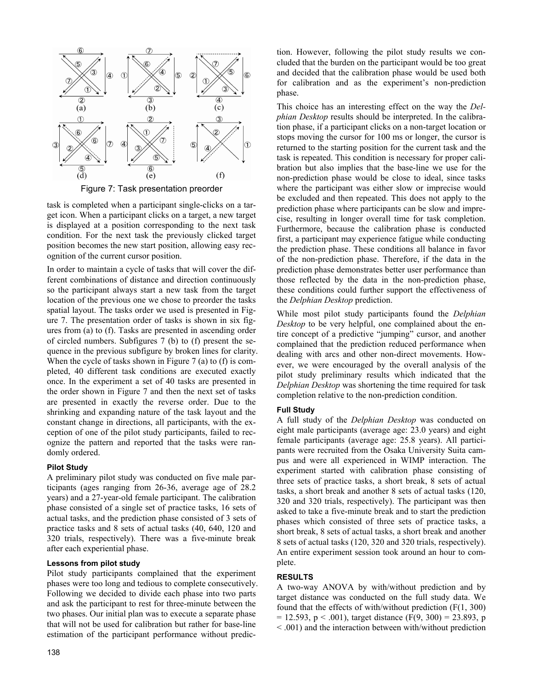

Figure 7: Task presentation preorder

task is completed when a participant single-clicks on a target icon. When a participant clicks on a target, a new target is displayed at a position corresponding to the next task condition. For the next task the previously clicked target position becomes the new start position, allowing easy recognition of the current cursor position.

In order to maintain a cycle of tasks that will cover the different combinations of distance and direction continuously so the participant always start a new task from the target location of the previous one we chose to preorder the tasks spatial layout. The tasks order we used is presented in Figure 7. The presentation order of tasks is shown in six figures from (a) to (f). Tasks are presented in ascending order of circled numbers. Subfigures 7 (b) to (f) present the sequence in the previous subfigure by broken lines for clarity. When the cycle of tasks shown in Figure 7 (a) to (f) is completed, 40 different task conditions are executed exactly once. In the experiment a set of 40 tasks are presented in the order shown in Figure 7 and then the next set of tasks are presented in exactly the reverse order. Due to the shrinking and expanding nature of the task layout and the constant change in directions, all participants, with the exception of one of the pilot study participants, failed to recognize the pattern and reported that the tasks were randomly ordered.

## **Pilot Study**

A preliminary pilot study was conducted on five male participants (ages ranging from 26-36, average age of 28.2 years) and a 27-year-old female participant. The calibration phase consisted of a single set of practice tasks, 16 sets of actual tasks, and the prediction phase consisted of 3 sets of practice tasks and 8 sets of actual tasks (40, 640, 120 and 320 trials, respectively). There was a five-minute break after each experiential phase.

## **Lessons from pilot study**

Pilot study participants complained that the experiment phases were too long and tedious to complete consecutively. Following we decided to divide each phase into two parts and ask the participant to rest for three-minute between the two phases. Our initial plan was to execute a separate phase that will not be used for calibration but rather for base-line estimation of the participant performance without prediction. However, following the pilot study results we concluded that the burden on the participant would be too great and decided that the calibration phase would be used both for calibration and as the experiment's non-prediction phase.

This choice has an interesting effect on the way the *Delphian Desktop* results should be interpreted. In the calibration phase, if a participant clicks on a non-target location or stops moving the cursor for 100 ms or longer, the cursor is returned to the starting position for the current task and the task is repeated. This condition is necessary for proper calibration but also implies that the base-line we use for the non-prediction phase would be close to ideal, since tasks where the participant was either slow or imprecise would be excluded and then repeated. This does not apply to the prediction phase where participants can be slow and imprecise, resulting in longer overall time for task completion. Furthermore, because the calibration phase is conducted first, a participant may experience fatigue while conducting the prediction phase. These conditions all balance in favor of the non-prediction phase. Therefore, if the data in the prediction phase demonstrates better user performance than those reflected by the data in the non-prediction phase, these conditions could further support the effectiveness of the *Delphian Desktop* prediction.

While most pilot study participants found the *Delphian Desktop* to be very helpful, one complained about the entire concept of a predictive "jumping" cursor, and another complained that the prediction reduced performance when dealing with arcs and other non-direct movements. However, we were encouraged by the overall analysis of the pilot study preliminary results which indicated that the *Delphian Desktop* was shortening the time required for task completion relative to the non-prediction condition.

# **Full Study**

A full study of the *Delphian Desktop* was conducted on eight male participants (average age: 23.0 years) and eight female participants (average age: 25.8 years). All participants were recruited from the Osaka University Suita campus and were all experienced in WIMP interaction. The experiment started with calibration phase consisting of three sets of practice tasks, a short break, 8 sets of actual tasks, a short break and another 8 sets of actual tasks (120, 320 and 320 trials, respectively). The participant was then asked to take a five-minute break and to start the prediction phases which consisted of three sets of practice tasks, a short break, 8 sets of actual tasks, a short break and another 8 sets of actual tasks (120, 320 and 320 trials, respectively). An entire experiment session took around an hour to complete.

# **RESULTS**

A two-way ANOVA by with/without prediction and by target distance was conducted on the full study data. We found that the effects of with/without prediction  $(F(1, 300))$  $= 12.593$ , p < .001), target distance (F(9, 300) = 23.893, p < .001) and the interaction between with/without prediction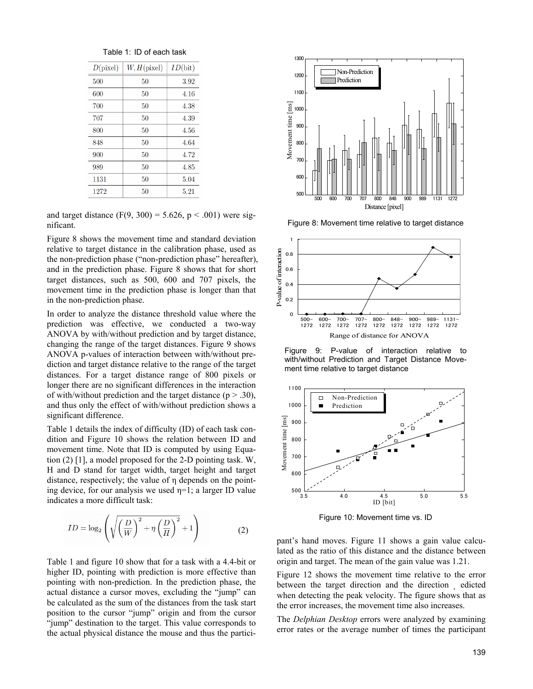| Table 1: ID of each task |  |  |  |  |  |
|--------------------------|--|--|--|--|--|
|--------------------------|--|--|--|--|--|

| D(pixel) | $W, H$ (pixel) | ID(bit) |
|----------|----------------|---------|
| 500      | 50             | 3.92    |
| 600      | 50             | 4.16    |
| 700      | 50             | 4.38    |
| 707      | 50             | 4.39    |
| 800      | 50             | 4.56    |
| 848      | 50             | 4.64    |
| 900      | 50             | 4.72    |
| 989      | 50             | 4.85    |
| 1131     | 50             | 5.04    |
| 1272     | 50             | 5.21    |

and target distance (F(9, 300) = 5.626, p < .001) were significant.

Figure 8 shows the movement time and standard deviation relative to target distance in the calibration phase, used as the non-prediction phase ("non-prediction phase" hereafter), and in the prediction phase. Figure 8 shows that for short target distances, such as 500, 600 and 707 pixels, the movement time in the prediction phase is longer than that in the non-prediction phase.

In order to analyze the distance threshold value where the prediction was effective, we conducted a two-way ANOVA by with/without prediction and by target distance, changing the range of the target distances. Figure 9 shows ANOVA p-values of interaction between with/without prediction and target distance relative to the range of the target distances. For a target distance range of 800 pixels or longer there are no significant differences in the interaction of with/without prediction and the target distance ( $p > .30$ ), and thus only the effect of with/without prediction shows a significant difference.

Table 1 details the index of difficulty (ID) of each task condition and Figure 10 shows the relation between ID and movement time. Note that ID is computed by using Equation (2) [1], a model proposed for the 2-D pointing task. W, H and D stand for target width, target height and target distance, respectively; the value of η depends on the pointing device, for our analysis we used  $\eta=1$ ; a larger ID value indicates a more difficult task:

$$
ID = \log_2\left(\sqrt{\left(\frac{D}{W}\right)^2 + \eta \left(\frac{D}{H}\right)^2} + 1\right)
$$
 (2)

Table 1 and figure 10 show that for a task with a 4.4-bit or higher ID, pointing with prediction is more effective than pointing with non-prediction. In the prediction phase, the actual distance a cursor moves, excluding the "jump" can be calculated as the sum of the distances from the task start position to the cursor "jump" origin and from the cursor "jump" destination to the target. This value corresponds to the actual physical distance the mouse and thus the partici-



Figure 8: Movement time relative to target distance



Figure 9: P-value of interaction relative to with/without Prediction and Target Distance Movement time relative to target distance



Figure 10: Movement time vs. ID

pant's hand moves. Figure 11 shows a gain value calculated as the ratio of this distance and the distance between origin and target. The mean of the gain value was 1.21.

Figure 12 shows the movement time relative to the error between the target direction and the direction edicted when detecting the peak velocity. The figure shows that as the error increases, the movement time also increases.

The *Delphian Desktop* errors were analyzed by examining error rates or the average number of times the participant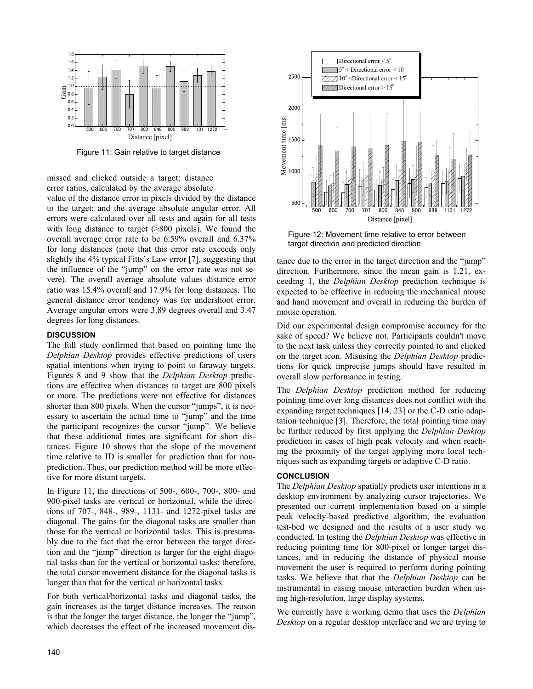

Figure 11: Gain relative to target distance

missed and clicked outside a target; distance error ratios, calculated by the average absolute

value of the distance error in pixels divided by the distance to the target; and the average absolute angular error. All errors were calculated over all tests and again for all tests with long distance to target (>800 pixels). We found the overall average error rate to be 6.59% overall and 6.37% for long distances (note that this error rate exceeds only slightly the 4% typical Fitts's Law error [7], suggesting that the influence of the "jump" on the error rate was not severe). The overall average absolute values distance error ratio was 15.4% overall and 17.9% for long distances. The general distance error tendency was for undershoot error. Average angular errors were 3.89 degrees overall and 3.47 degrees for long distances.

## **DISCUSSION**

The full study confirmed that based on pointing time the *Delphian Desktop* provides effective predictions of users spatial intentions when trying to point to faraway targets. Figures 8 and 9 show that the *Delphian Desktop* predictions are effective when distances to target are 800 pixels or more. The predictions were not effective for distances shorter than 800 pixels. When the cursor "jumps", it is necessary to ascertain the actual time to "jump" and the time the participant recognizes the cursor "jump". We believe that these additional times are significant for short distances. Figure 10 shows that the slope of the movement time relative to ID is smaller for prediction than for nonprediction. Thus, our prediction method will be more effective for more distant targets.

In Figure 11, the directions of 500-, 600-, 700-, 800- and 900-pixel tasks are vertical or horizontal, while the directions of 707-, 848-, 989-, 1131- and 1272-pixel tasks are diagonal. The gains for the diagonal tasks are smaller than those for the vertical or horizontal tasks. This is presumably due to the fact that the error between the target direction and the "jump" direction is larger for the eight diagonal tasks than for the vertical or horizontal tasks; therefore, the total cursor movement distance for the diagonal tasks is longer than that for the vertical or horizontal tasks.

For both vertical/horizontal tasks and diagonal tasks, the gain increases as the target distance increases. The reason is that the longer the target distance, the longer the "jump", which decreases the effect of the increased movement dis-



Figure 12: Movement time relative to error between target direction and predicted direction

tance due to the error in the target direction and the "jump" direction. Furthermore, since the mean gain is 1.21, exceeding 1, the *Delphian Desktop* prediction technique is expected to be effective in reducing the mechanical mouse and hand movement and overall in reducing the burden of mouse operation.

Did our experimental design compromise accuracy for the sake of speed? We believe not. Participants couldn't move to the next task unless they correctly pointed to and clicked on the target icon. Misusing the *Delphian Desktop* predictions for quick imprecise jumps should have resulted in overall slow performance in testing.

The *Delphian Desktop* prediction method for reducing pointing time over long distances does not conflict with the expanding target techniques [14, 23] or the C-D ratio adaptation technique [3]. Therefore, the total pointing time may be further reduced by first applying the *Delphian Desktop* prediction in cases of high peak velocity and when reaching the proximity of the target applying more local techniques such as expanding targets or adaptive C-D ratio.

#### **CONCLUSION**

The *Delphian Desktop* spatially predicts user intentions in a desktop environment by analyzing cursor trajectories. We presented our current implementation based on a simple peak velocity-based predictive algorithm, the evaluation test-bed we designed and the results of a user study we conducted. In testing the *Delphian Desktop* was effective in reducing pointing time for 800-pixel or longer target distances, and in reducing the distance of physical mouse movement the user is required to perform during pointing tasks. We believe that that the *Delphian Desktop* can be instrumental in easing mouse interaction burden when using high-resolution, large display systems.

We currently have a working demo that uses the *Delphian Desktop* on a regular desktop interface and we are trying to